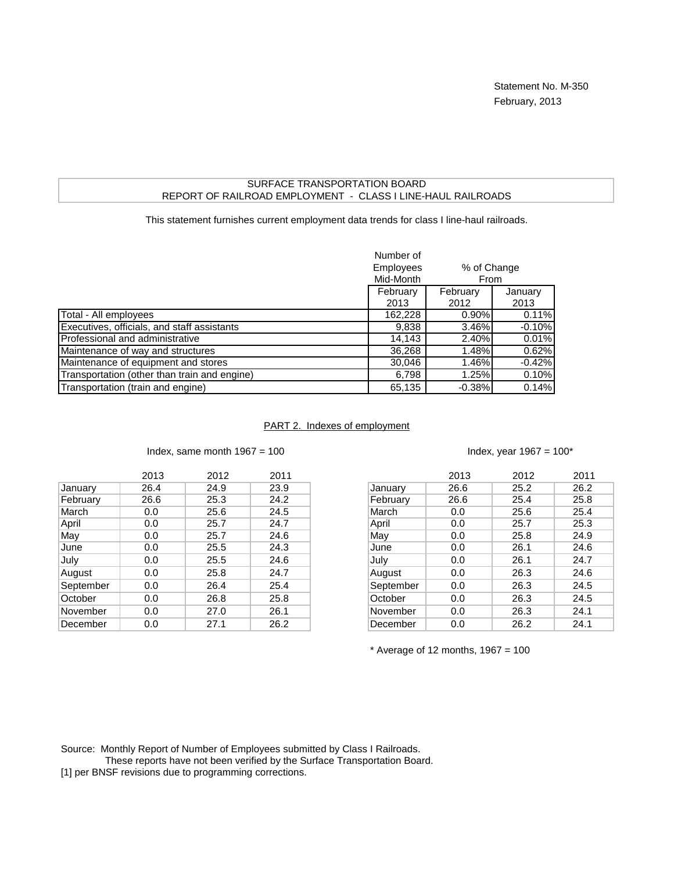## SURFACE TRANSPORTATION BOARD REPORT OF RAILROAD EMPLOYMENT - CLASS I LINE-HAUL RAILROADS

This statement furnishes current employment data trends for class I line-haul railroads.

|                                              | Number of<br>Employees<br>Mid-Month | % of Change<br>From |                 |
|----------------------------------------------|-------------------------------------|---------------------|-----------------|
|                                              | February<br>2013                    | February<br>2012    | January<br>2013 |
| Total - All employees                        | 162,228                             | $0.90\%$            | 0.11%           |
| Executives, officials, and staff assistants  | 9,838                               | 3.46%               | $-0.10%$        |
| Professional and administrative              | 14,143                              | 2.40%               | 0.01%           |
| Maintenance of way and structures            | 36,268                              | 1.48%               | 0.62%           |
| Maintenance of equipment and stores          | 30,046                              | 1.46%               | $-0.42%$        |
| Transportation (other than train and engine) | 6,798                               | 1.25%               | 0.10%           |
| Transportation (train and engine)            | 65,135                              | $-0.38%$            | 0.14%           |

## PART 2. Indexes of employment

|           | 2013 | 2012 | 2011 |
|-----------|------|------|------|
| January   | 26.4 | 24.9 | 23.9 |
| February  | 26.6 | 25.3 | 24.2 |
| March     | 0.0  | 25.6 | 24.5 |
| April     | 0.0  | 25.7 | 24.7 |
| May       | 0.0  | 25.7 | 24.6 |
| June      | 0.0  | 25.5 | 24.3 |
| July      | 0.0  | 25.5 | 24.6 |
| August    | 0.0  | 25.8 | 24.7 |
| September | 0.0  | 26.4 | 25.4 |
| October   | 0.0  | 26.8 | 25.8 |
| November  | 0.0  | 27.0 | 26.1 |
| December  | 0.0  | 27.1 | 26.2 |
|           |      |      |      |

Index, same month  $1967 = 100$  Index, year  $1967 = 100^*$ 

| 2013 | 2012 | 2011 |           | 2013 | 2012 |
|------|------|------|-----------|------|------|
| 26.4 | 24.9 | 23.9 | ∣January  | 26.6 | 25.2 |
| 26.6 | 25.3 | 24.2 | February  | 26.6 | 25.4 |
| 0.0  | 25.6 | 24.5 | March     | 0.0  | 25.6 |
| 0.0  | 25.7 | 24.7 | April     | 0.0  | 25.7 |
| 0.0  | 25.7 | 24.6 | May       | 0.0  | 25.8 |
| 0.0  | 25.5 | 24.3 | June      | 0.0  | 26.1 |
| 0.0  | 25.5 | 24.6 | July      | 0.0  | 26.1 |
| 0.0  | 25.8 | 24.7 | August    | 0.0  | 26.3 |
| 0.0  | 26.4 | 25.4 | September | 0.0  | 26.3 |
| 0.0  | 26.8 | 25.8 | October   | 0.0  | 26.3 |
| 0.0  | 27.0 | 26.1 | November  | 0.0  | 26.3 |
| 0.0  | 27.1 | 26.2 | December  | 0.0  | 26.2 |

 $*$  Average of 12 months, 1967 = 100

Source: Monthly Report of Number of Employees submitted by Class I Railroads.

These reports have not been verified by the Surface Transportation Board.

[1] per BNSF revisions due to programming corrections.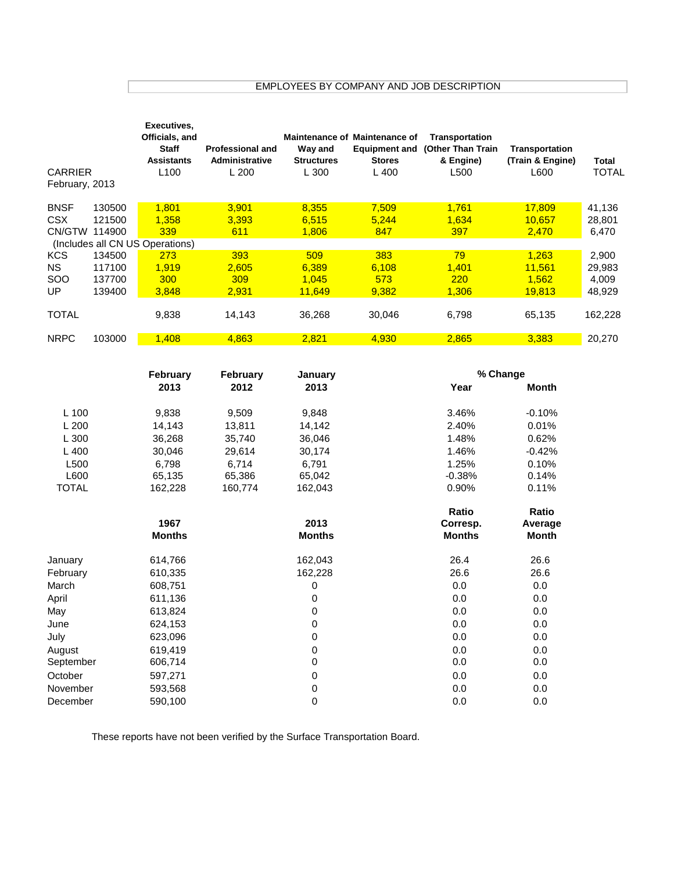EMPLOYEES BY COMPANY AND JOB DESCRIPTION

| <b>CARRIER</b><br>February, 2013 |        | Executives,<br>Officials, and<br><b>Staff</b><br><b>Assistants</b><br>L100 | <b>Professional and</b><br><b>Administrative</b><br>L 200 | Way and<br><b>Structures</b><br>L 300 | <b>Maintenance of Maintenance of</b><br><b>Equipment and</b><br><b>Stores</b><br>L 400 | <b>Transportation</b><br>(Other Than Train<br>& Engine)<br>L500 | <b>Transportation</b><br>(Train & Engine)<br>L600 | Total<br>TOTAL |
|----------------------------------|--------|----------------------------------------------------------------------------|-----------------------------------------------------------|---------------------------------------|----------------------------------------------------------------------------------------|-----------------------------------------------------------------|---------------------------------------------------|----------------|
| <b>BNSF</b>                      | 130500 | 1.801                                                                      | 3.901                                                     | 8.355                                 | 7.509                                                                                  | 1.761                                                           | 17.809                                            | 41,136         |
| CSX                              | 121500 | 1.358                                                                      | 3.393                                                     | 6.515                                 | 5.244                                                                                  | 1,634                                                           | 10,657                                            | 28,801         |
| CN/GTW                           | 114900 | 339                                                                        | 611                                                       | 1.806                                 | 847                                                                                    | 397                                                             | 2,470                                             | 6,470          |
|                                  |        | (Includes all CN US Operations)                                            |                                                           |                                       |                                                                                        |                                                                 |                                                   |                |
| KCS                              | 134500 | 273                                                                        | 393                                                       | 509                                   | 383                                                                                    | 79                                                              | 1.263                                             | 2,900          |
| NS.                              | 117100 | 1.919                                                                      | 2.605                                                     | 6.389                                 | 6,108                                                                                  | 1,401                                                           | 11.561                                            | 29,983         |
| <b>SOO</b>                       | 137700 | 300                                                                        | 309                                                       | 1.045                                 | 573                                                                                    | <b>220</b>                                                      | 1.562                                             | 4,009          |
| UP                               | 139400 | 3.848                                                                      | 2.931                                                     | 11.649                                | 9.382                                                                                  | 1,306                                                           | <u>19.813</u>                                     | 48,929         |
| <b>TOTAL</b>                     |        | 9,838                                                                      | 14,143                                                    | 36,268                                | 30,046                                                                                 | 6,798                                                           | 65,135                                            | 162,228        |
| <b>NRPC</b>                      | 103000 | 1,408                                                                      | 4,863                                                     | 2,821                                 | 4,930                                                                                  | 2,865                                                           | 3,383                                             | 20,270         |

|              | February      | February | January       | % Change                  |                         |  |
|--------------|---------------|----------|---------------|---------------------------|-------------------------|--|
|              | 2013          | 2012     | 2013          | Year                      | Month                   |  |
| L 100        | 9,838         | 9,509    | 9,848         | 3.46%                     | $-0.10%$                |  |
| L200         | 14,143        | 13,811   | 14,142        | 2.40%                     | 0.01%                   |  |
| L 300        | 36,268        | 35,740   | 36,046        | 1.48%                     | 0.62%                   |  |
| L 400        | 30,046        | 29,614   | 30,174        | 1.46%                     | $-0.42%$                |  |
| L500         | 6,798         | 6,714    | 6,791         | 1.25%                     | 0.10%                   |  |
| L600         | 65,135        | 65,386   | 65,042        | $-0.38%$                  | 0.14%                   |  |
| <b>TOTAL</b> | 162,228       | 160,774  | 162,043       | 0.90%                     | 0.11%                   |  |
|              | 1967          |          | 2013          | Ratio                     | Ratio                   |  |
|              | <b>Months</b> |          | <b>Months</b> | Corresp.<br><b>Months</b> | Average<br><b>Month</b> |  |
| January      | 614,766       |          | 162,043       | 26.4                      | 26.6                    |  |
| February     | 610,335       |          | 162,228       | 26.6                      | 26.6                    |  |
| March        | 608,751       |          | 0             | 0.0                       | 0.0                     |  |
| April        | 611,136       |          | 0             | 0.0                       | 0.0                     |  |
| May          | 613,824       |          | $\pmb{0}$     | 0.0                       | 0.0                     |  |
| June         | 624,153       |          | $\pmb{0}$     | 0.0                       | 0.0                     |  |
| July         | 623,096       |          | $\pmb{0}$     | 0.0                       | 0.0                     |  |
| August       | 619,419       |          | $\pmb{0}$     | 0.0                       | 0.0                     |  |
| September    | 606,714       |          | $\mathbf 0$   | 0.0                       | 0.0                     |  |
| October      | 597,271       |          | $\pmb{0}$     | 0.0                       | 0.0                     |  |
| November     | 593,568       |          | $\pmb{0}$     | 0.0                       | 0.0                     |  |
| December     | 590,100       |          | 0             | 0.0                       | 0.0                     |  |

These reports have not been verified by the Surface Transportation Board.